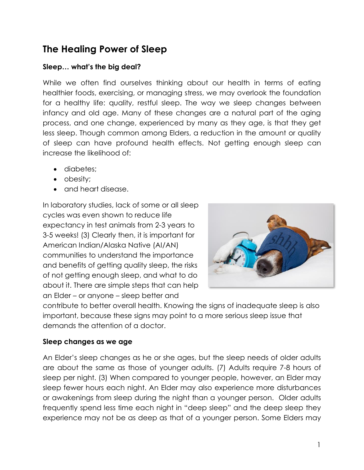# **The Healing Power of Sleep**

## **Sleep… what's the big deal?**

While we often find ourselves thinking about our health in terms of eating healthier foods, exercising, or managing stress, we may overlook the foundation for a healthy life: quality, restful sleep. The way we sleep changes between infancy and old age. Many of these changes are a natural part of the aging process, and one change, experienced by many as they age, is that they get less sleep. Though common among Elders, a reduction in the amount or quality of sleep can have profound health effects. Not getting enough sleep can increase the likelihood of:

- diabetes;
- obesity;
- and heart disease.

In laboratory studies, lack of some or all sleep cycles was even shown to reduce life expectancy in test animals from 2-3 years to 3-5 weeks! (3) Clearly then, it is important for American Indian/Alaska Native (AI/AN) communities to understand the importance and benefits of getting quality sleep, the risks of not getting enough sleep, and what to do about it. There are simple steps that can help an Elder – or anyone – sleep better and



contribute to better overall health. Knowing the signs of inadequate sleep is also important, because these signs may point to a more serious sleep issue that demands the attention of a doctor.

#### **Sleep changes as we age**

An Elder's sleep changes as he or she ages, but the sleep needs of older adults are about the same as those of younger adults. (7) Adults require 7-8 hours of sleep per night. (3) When compared to younger people, however, an Elder may sleep fewer hours each night. An Elder may also experience more disturbances or awakenings from sleep during the night than a younger person. Older adults frequently spend less time each night in "deep sleep" and the deep sleep they experience may not be as deep as that of a younger person. Some Elders may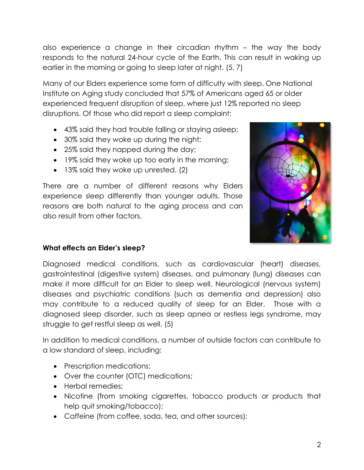also experience a change in their circadian rhythm – the way the body responds to the natural 24-hour cycle of the Earth. This can result in waking up earlier in the morning or going to sleep later at night. (5, 7)

Many of our Elders experience some form of difficulty with sleep. One National Institute on Aging study concluded that 57% of Americans aged 65 or older experienced frequent disruption of sleep, where just 12% reported no sleep disruptions. Of those who did report a sleep complaint:

- 43% said they had trouble falling or staying asleep;
- 30% said they woke up during the night;
- 25% said they napped during the day;
- 19% said they woke up too early in the morning;
- 13% said they woke up unrested. (2)

There are a number of different reasons why Elders experience sleep differently than younger adults. Those reasons are both natural to the aging process and can also result from other factors.



#### **What effects an Elder's sleep?**

Diagnosed medical conditions, such as cardiovascular (heart) diseases, gastrointestinal (digestive system) diseases, and pulmonary (lung) diseases can make it more difficult for an Elder to sleep well. Neurological (nervous system) diseases and psychiatric conditions (such as dementia and depression) also may contribute to a reduced quality of sleep for an Elder. Those with a diagnosed sleep disorder, such as sleep apnea or restless legs syndrome, may struggle to get restful sleep as well. (5)

In addition to medical conditions, a number of outside factors can contribute to a low standard of sleep, including:

- Prescription medications;
- Over the counter (OTC) medications;
- Herbal remedies:
- Nicotine (from smoking cigarettes, tobacco products or products that help quit smoking/tobacco);
- Caffeine (from coffee, soda, tea, and other sources);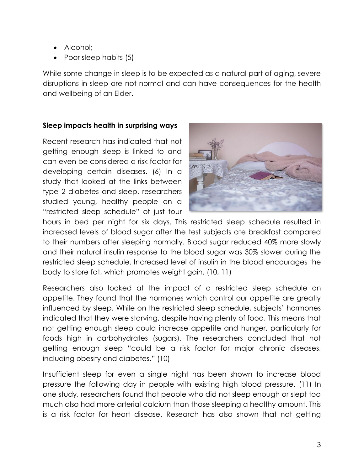- Alcohol;
- Poor sleep habits (5)

While some change in sleep is to be expected as a natural part of aging, severe disruptions in sleep are not normal and can have consequences for the health and wellbeing of an Elder.

## **Sleep impacts health in surprising ways**

Recent research has indicated that not getting enough sleep is linked to and can even be considered a risk factor for developing certain diseases. (6) In a study that looked at the links between type 2 diabetes and sleep, researchers studied young, healthy people on a "restricted sleep schedule" of just four



hours in bed per night for six days. This restricted sleep schedule resulted in increased levels of blood sugar after the test subjects ate breakfast compared to their numbers after sleeping normally. Blood sugar reduced 40% more slowly and their natural insulin response to the blood sugar was 30% slower during the restricted sleep schedule. Increased level of insulin in the blood encourages the body to store fat, which promotes weight gain. (10, 11)

Researchers also looked at the impact of a restricted sleep schedule on appetite. They found that the hormones which control our appetite are greatly influenced by sleep. While on the restricted sleep schedule, subjects' hormones indicated that they were starving, despite having plenty of food. This means that not getting enough sleep could increase appetite and hunger, particularly for foods high in carbohydrates (sugars). The researchers concluded that not getting enough sleep "could be a risk factor for major chronic diseases, including obesity and diabetes." (10)

Insufficient sleep for even a single night has been shown to increase blood pressure the following day in people with existing high blood pressure. (11) In one study, researchers found that people who did not sleep enough or slept too much also had more arterial calcium than those sleeping a healthy amount. This is a risk factor for heart disease. Research has also shown that not getting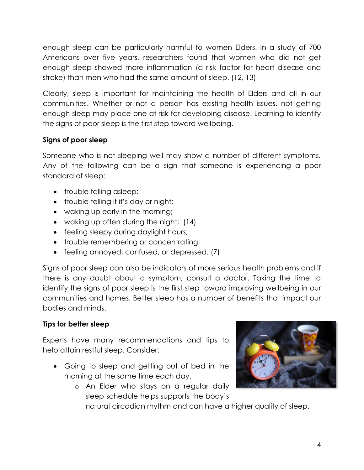enough sleep can be particularly harmful to women Elders. In a study of 700 Americans over five years, researchers found that women who did not get enough sleep showed more inflammation (a risk factor for heart disease and stroke) than men who had the same amount of sleep. (12, 13)

Clearly, sleep is important for maintaining the health of Elders and all in our communities. Whether or not a person has existing health issues, not getting enough sleep may place one at risk for developing disease. Learning to identify the signs of poor sleep is the first step toward wellbeing.

## **Signs of poor sleep**

Someone who is not sleeping well may show a number of different symptoms. Any of the following can be a sign that someone is experiencing a poor standard of sleep:

- trouble falling asleep;
- trouble telling if it's day or night;
- waking up early in the morning;
- waking up often during the night; (14)
- feeling sleepy during daylight hours;
- trouble remembering or concentrating;
- feeling annoyed, confused, or depressed. (7)

Signs of poor sleep can also be indicators of more serious health problems and if there is any doubt about a symptom, consult a doctor. Taking the time to identify the signs of poor sleep is the first step toward improving wellbeing in our communities and homes. Better sleep has a number of benefits that impact our bodies and minds.

# **Tips for better sleep**

Experts have many recommendations and tips to help attain restful sleep. Consider:

- Going to sleep and getting out of bed in the morning at the same time each day.
	- o An Elder who stays on a regular daily sleep schedule helps supports the body's



natural circadian rhythm and can have a higher quality of sleep.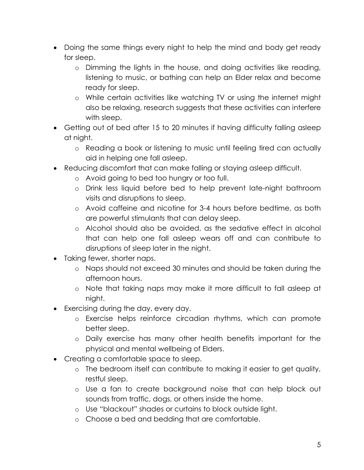- Doing the same things every night to help the mind and body get ready for sleep.
	- o Dimming the lights in the house, and doing activities like reading, listening to music, or bathing can help an Elder relax and become ready for sleep.
	- o While certain activities like watching TV or using the internet might also be relaxing, research suggests that these activities can interfere with sleep.
- Getting out of bed after 15 to 20 minutes if having difficulty falling asleep at night.
	- o Reading a book or listening to music until feeling tired can actually aid in helping one fall asleep.
- Reducing discomfort that can make falling or staying asleep difficult.
	- o Avoid going to bed too hungry or too full.
	- o Drink less liquid before bed to help prevent late-night bathroom visits and disruptions to sleep.
	- o Avoid caffeine and nicotine for 3-4 hours before bedtime, as both are powerful stimulants that can delay sleep.
	- o Alcohol should also be avoided, as the sedative effect in alcohol that can help one fall asleep wears off and can contribute to disruptions of sleep later in the night.
- Taking fewer, shorter naps.
	- o Naps should not exceed 30 minutes and should be taken during the afternoon hours.
	- o Note that taking naps may make it more difficult to fall asleep at night.
- Exercising during the day, every day.
	- o Exercise helps reinforce circadian rhythms, which can promote better sleep.
	- o Daily exercise has many other health benefits important for the physical and mental wellbeing of Elders.
- Creating a comfortable space to sleep.
	- o The bedroom itself can contribute to making it easier to get quality, restful sleep.
	- o Use a fan to create background noise that can help block out sounds from traffic, dogs, or others inside the home.
	- o Use "blackout" shades or curtains to block outside light.
	- o Choose a bed and bedding that are comfortable.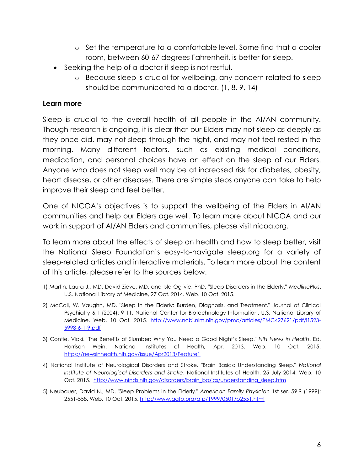- o Set the temperature to a comfortable level. Some find that a cooler room, between 60-67 degrees Fahrenheit, is better for sleep.
- Seeking the help of a doctor if sleep is not restful.
	- o Because sleep is crucial for wellbeing, any concern related to sleep should be communicated to a doctor. (1, 8, 9, 14)

## **Learn more**

Sleep is crucial to the overall health of all people in the AI/AN community. Though research is ongoing, it is clear that our Elders may not sleep as deeply as they once did, may not sleep through the night, and may not feel rested in the morning. Many different factors, such as existing medical conditions, medication, and personal choices have an effect on the sleep of our Elders. Anyone who does not sleep well may be at increased risk for diabetes, obesity, heart disease, or other diseases. There are simple steps anyone can take to help improve their sleep and feel better.

One of NICOA's objectives is to support the wellbeing of the Elders in AI/AN communities and help our Elders age well. To learn more about NICOA and our work in support of AI/AN Elders and communities, please visit nicoa.org.

To learn more about the effects of sleep on health and how to sleep better, visit the National Sleep Foundation's easy-to-navigate sleep.org for a variety of sleep-related articles and interactive materials. To learn more about the content of this article, please refer to the sources below.

- 1) Martin, Laura J., MD, David Zieve, MD, and Isla Oglivie, PhD. "Sleep Disorders in the Elderly." *MedlinePlus*. U.S. National Library of Medicine, 27 Oct. 2014. Web. 10 Oct. 2015.
- 2) McCall, W. Vaughn, MD. "Sleep in the Elderly: Burden, Diagnosis, and Treatment." Journal of Clinical Psychiatry 6.1 (2004): 9-11. National Center for Biotechnology Information. U.S. National Library of Medicine. Web. 10 Oct. 2015. [http://www.ncbi.nlm.nih.gov/pmc/articles/PMC427621/pdf/i1523-](http://www.ncbi.nlm.nih.gov/pmc/articles/PMC427621/pdf/i1523-5998-6-1-9.pdf) [5998-6-1-9.pdf](http://www.ncbi.nlm.nih.gov/pmc/articles/PMC427621/pdf/i1523-5998-6-1-9.pdf)
- 3) Contie, Vicki. "The Benefits of Slumber: Why You Need a Good Night's Sleep." *NIH News in Health*. Ed. Harrison Wein. National Institutes of Health, Apr. 2013. Web. 10 Oct. 2015. <https://newsinhealth.nih.gov/issue/Apr2013/Feature1>
- 4) National Institute of Neurological Disorders and Stroke. "Brain Basics: Understanding Sleep." *National Institute of Neurological Disorders and Stroke*. National Institutes of Health, 25 July 2014. Web. 10 Oct. 2015. [http://www.ninds.nih.gov/disorders/brain\\_basics/understanding\\_sleep.htm](http://www.ninds.nih.gov/disorders/brain_basics/understanding_sleep.htm)
- 5) Neubauer, David N., MD. "Sleep Problems in the Elderly." *American Family Physician* 1st ser. 59.9 (1999): 2551-558. Web. 10 Oct. 2015. http://www.aafp.org/afp/1999/0501/p2551.html